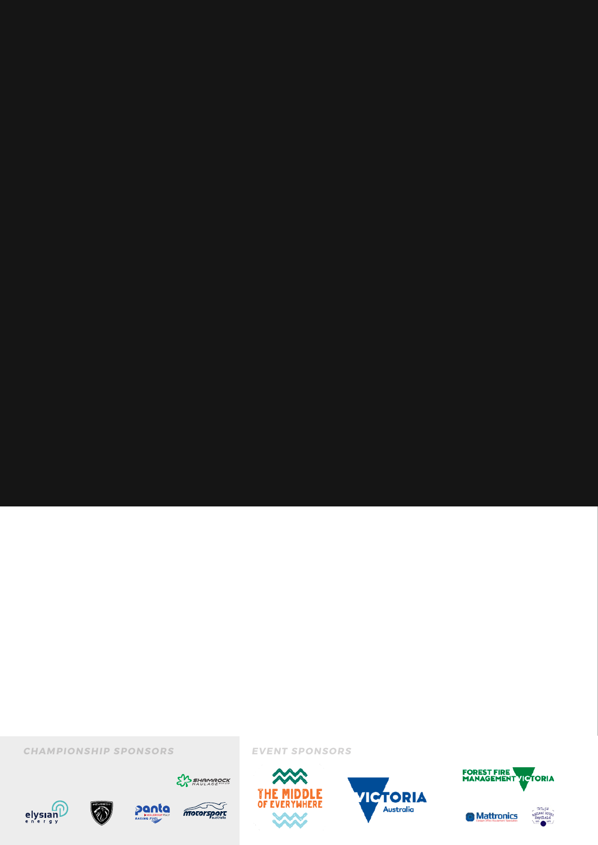# SUPPLEMENTARY REGULATIONS

6-8 AUGUST 2021 HEYFIELD, VICTORIA R ALLY.COM . AU



CHAMPIONSHIP SPONSORS CHAMPIONSHIP SPONSORS







**SAS SHAMROCK** 



EVENT SPONSORS SPONSORS



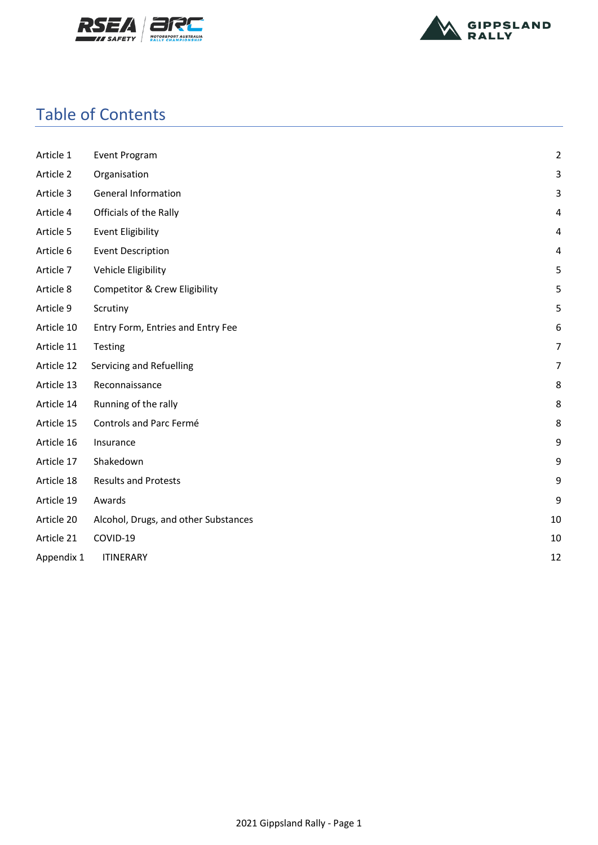



## Table of Contents

| Article 1  | Event Program                            | $\overline{2}$ |
|------------|------------------------------------------|----------------|
| Article 2  | Organisation                             | 3              |
| Article 3  | <b>General Information</b>               | 3              |
| Article 4  | Officials of the Rally                   | 4              |
| Article 5  | <b>Event Eligibility</b>                 | $\overline{4}$ |
| Article 6  | <b>Event Description</b>                 | 4              |
| Article 7  | Vehicle Eligibility                      | 5              |
| Article 8  | <b>Competitor &amp; Crew Eligibility</b> | 5              |
| Article 9  | Scrutiny                                 | 5              |
| Article 10 | Entry Form, Entries and Entry Fee        | 6              |
| Article 11 | Testing                                  | $\overline{7}$ |
| Article 12 | Servicing and Refuelling                 | 7              |
| Article 13 | Reconnaissance                           | 8              |
| Article 14 | Running of the rally                     | 8              |
| Article 15 | Controls and Parc Fermé                  | 8              |
| Article 16 | Insurance                                | 9              |
| Article 17 | Shakedown                                | 9              |
| Article 18 | <b>Results and Protests</b>              | 9              |
| Article 19 | Awards                                   | 9              |
| Article 20 | Alcohol, Drugs, and other Substances     | 10             |
| Article 21 | COVID-19                                 | 10             |
| Appendix 1 | <b>ITINERARY</b>                         | 12             |
|            |                                          |                |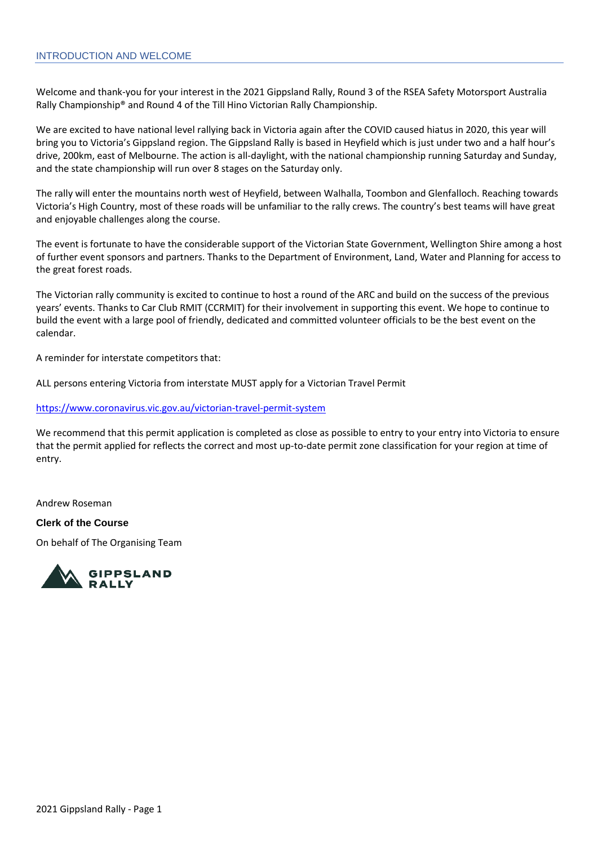#### INTRODUCTION AND WELCOME

Welcome and thank-you for your interest in the 2021 Gippsland Rally, Round 3 of the RSEA Safety Motorsport Australia Rally Championship® and Round 4 of the Till Hino Victorian Rally Championship.

We are excited to have national level rallying back in Victoria again after the COVID caused hiatus in 2020, this year will bring you to Victoria's Gippsland region. The Gippsland Rally is based in Heyfield which is just under two and a half hour's drive, 200km, east of Melbourne. The action is all-daylight, with the national championship running Saturday and Sunday, and the state championship will run over 8 stages on the Saturday only.

The rally will enter the mountains north west of Heyfield, between Walhalla, Toombon and Glenfalloch. Reaching towards Victoria's High Country, most of these roads will be unfamiliar to the rally crews. The country's best teams will have great and enjoyable challenges along the course.

The event is fortunate to have the considerable support of the Victorian State Government, Wellington Shire among a host of further event sponsors and partners. Thanks to the Department of Environment, Land, Water and Planning for access to the great forest roads.

The Victorian rally community is excited to continue to host a round of the ARC and build on the success of the previous years' events. Thanks to Car Club RMIT (CCRMIT) for their involvement in supporting this event. We hope to continue to build the event with a large pool of friendly, dedicated and committed volunteer officials to be the best event on the calendar.

A reminder for interstate competitors that:

ALL persons entering Victoria from interstate MUST apply for a Victorian Travel Permit

<https://www.coronavirus.vic.gov.au/victorian-travel-permit-system>

We recommend that this permit application is completed as close as possible to entry to your entry into Victoria to ensure that the permit applied for reflects the correct and most up-to-date permit zone classification for your region at time of entry.

Andrew Roseman

#### **Clerk of the Course**

On behalf of The Organising Team

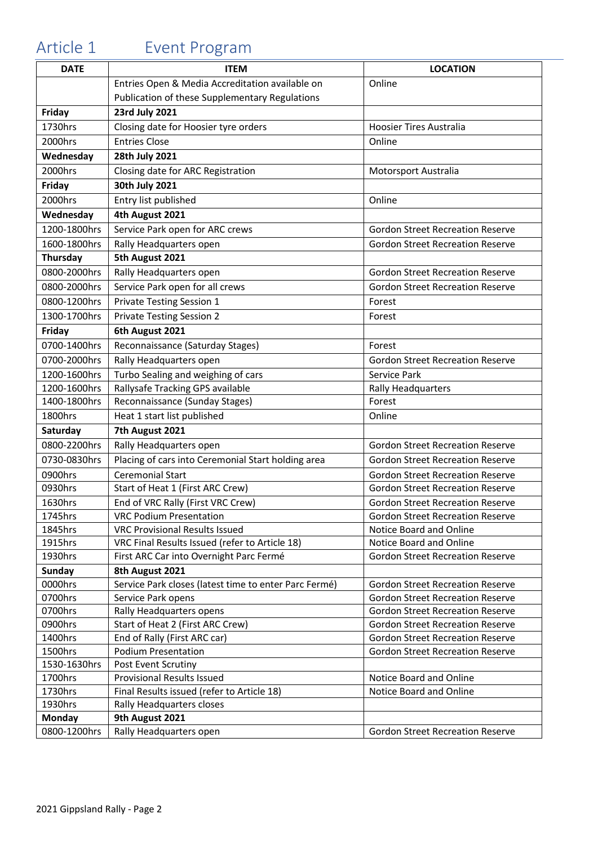# <span id="page-3-0"></span>Article 1 Event Program

| <b>DATE</b>  | <b>ITEM</b>                                           | <b>LOCATION</b>                         |
|--------------|-------------------------------------------------------|-----------------------------------------|
|              | Entries Open & Media Accreditation available on       | Online                                  |
|              | Publication of these Supplementary Regulations        |                                         |
| Friday       | 23rd July 2021                                        |                                         |
| 1730hrs      | Closing date for Hoosier tyre orders                  | <b>Hoosier Tires Australia</b>          |
| 2000hrs      | <b>Entries Close</b>                                  | Online                                  |
| Wednesday    | 28th July 2021                                        |                                         |
| 2000hrs      | Closing date for ARC Registration                     | Motorsport Australia                    |
| Friday       | 30th July 2021                                        |                                         |
| 2000hrs      | Entry list published                                  | Online                                  |
| Wednesday    | 4th August 2021                                       |                                         |
| 1200-1800hrs | Service Park open for ARC crews                       | <b>Gordon Street Recreation Reserve</b> |
| 1600-1800hrs | Rally Headquarters open                               | <b>Gordon Street Recreation Reserve</b> |
| Thursday     | 5th August 2021                                       |                                         |
| 0800-2000hrs | Rally Headquarters open                               | <b>Gordon Street Recreation Reserve</b> |
| 0800-2000hrs | Service Park open for all crews                       | <b>Gordon Street Recreation Reserve</b> |
| 0800-1200hrs | Private Testing Session 1                             | Forest                                  |
| 1300-1700hrs | <b>Private Testing Session 2</b>                      | Forest                                  |
| Friday       | 6th August 2021                                       |                                         |
| 0700-1400hrs | Reconnaissance (Saturday Stages)                      | Forest                                  |
| 0700-2000hrs | Rally Headquarters open                               | <b>Gordon Street Recreation Reserve</b> |
| 1200-1600hrs | Turbo Sealing and weighing of cars                    | Service Park                            |
| 1200-1600hrs | Rallysafe Tracking GPS available                      | <b>Rally Headquarters</b>               |
| 1400-1800hrs | Reconnaissance (Sunday Stages)                        | Forest                                  |
| 1800hrs      | Heat 1 start list published                           | Online                                  |
| Saturday     | 7th August 2021                                       |                                         |
| 0800-2200hrs | Rally Headquarters open                               | <b>Gordon Street Recreation Reserve</b> |
| 0730-0830hrs | Placing of cars into Ceremonial Start holding area    | <b>Gordon Street Recreation Reserve</b> |
| 0900hrs      | Ceremonial Start                                      | <b>Gordon Street Recreation Reserve</b> |
| 0930hrs      | Start of Heat 1 (First ARC Crew)                      | <b>Gordon Street Recreation Reserve</b> |
| 1630hrs      | End of VRC Rally (First VRC Crew)                     | <b>Gordon Street Recreation Reserve</b> |
| 1745hrs      | <b>VRC Podium Presentation</b>                        | <b>Gordon Street Recreation Reserve</b> |
| 1845hrs      | <b>VRC Provisional Results Issued</b>                 | Notice Board and Online                 |
| 1915hrs      | VRC Final Results Issued (refer to Article 18)        | Notice Board and Online                 |
| 1930hrs      | First ARC Car into Overnight Parc Fermé               | <b>Gordon Street Recreation Reserve</b> |
| Sunday       | 8th August 2021                                       |                                         |
| 0000hrs      | Service Park closes (latest time to enter Parc Fermé) | <b>Gordon Street Recreation Reserve</b> |
| 0700hrs      | Service Park opens                                    | <b>Gordon Street Recreation Reserve</b> |
| 0700hrs      | Rally Headquarters opens                              | <b>Gordon Street Recreation Reserve</b> |
| 0900hrs      | Start of Heat 2 (First ARC Crew)                      | <b>Gordon Street Recreation Reserve</b> |
| 1400hrs      | End of Rally (First ARC car)                          | <b>Gordon Street Recreation Reserve</b> |
| 1500hrs      | <b>Podium Presentation</b>                            | <b>Gordon Street Recreation Reserve</b> |
| 1530-1630hrs | Post Event Scrutiny                                   |                                         |
| 1700hrs      | <b>Provisional Results Issued</b>                     | Notice Board and Online                 |
| 1730hrs      | Final Results issued (refer to Article 18)            | Notice Board and Online                 |
| 1930hrs      | Rally Headquarters closes                             |                                         |
| Monday       | 9th August 2021                                       |                                         |
| 0800-1200hrs | Rally Headquarters open                               | <b>Gordon Street Recreation Reserve</b> |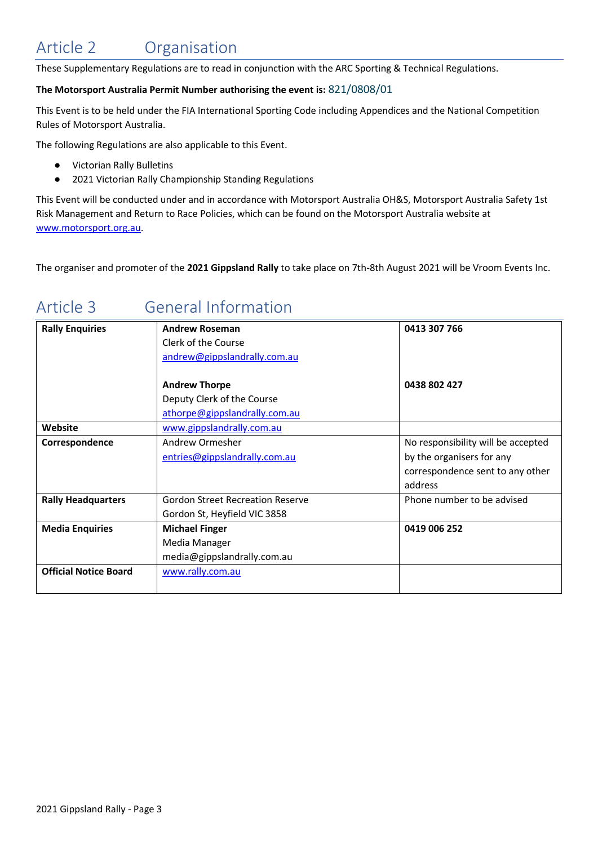# <span id="page-4-0"></span>Article 2 Organisation

These Supplementary Regulations are to read in conjunction with the ARC Sporting & Technical Regulations.

#### **The Motorsport Australia Permit Number authorising the event is:** 821/0808/01

This Event is to be held under the FIA International Sporting Code including Appendices and the National Competition Rules of Motorsport Australia.

The following Regulations are also applicable to this Event.

- Victorian Rally Bulletins
- 2021 Victorian Rally Championship Standing Regulations

This Event will be conducted under and in accordance with Motorsport Australia OH&S, Motorsport Australia Safety 1st Risk Management and Return to Race Policies, which can be found on the Motorsport Australia website at [www.motorsport.org.au.](http://www.motorsport.org.au/)

The organiser and promoter of the **2021 Gippsland Rally** to take place on 7th-8th August 2021 will be Vroom Events Inc.

# <span id="page-4-1"></span>Article 3 General Information

| <b>Rally Enquiries</b>       | <b>Andrew Roseman</b>                   | 0413 307 766                       |
|------------------------------|-----------------------------------------|------------------------------------|
|                              | Clerk of the Course                     |                                    |
|                              | andrew@gippslandrally.com.au            |                                    |
|                              |                                         |                                    |
|                              | <b>Andrew Thorpe</b>                    | 0438 802 427                       |
|                              | Deputy Clerk of the Course              |                                    |
|                              | athorpe@gippslandrally.com.au           |                                    |
| Website                      | www.gippslandrally.com.au               |                                    |
| Correspondence               | Andrew Ormesher                         | No responsibility will be accepted |
|                              | entries@gippslandrally.com.au           | by the organisers for any          |
|                              |                                         | correspondence sent to any other   |
|                              |                                         | address                            |
| <b>Rally Headquarters</b>    | <b>Gordon Street Recreation Reserve</b> | Phone number to be advised         |
|                              | Gordon St, Heyfield VIC 3858            |                                    |
| <b>Media Enquiries</b>       | <b>Michael Finger</b>                   | 0419 006 252                       |
|                              | Media Manager                           |                                    |
|                              | media@gippslandrally.com.au             |                                    |
| <b>Official Notice Board</b> | www.rally.com.au                        |                                    |
|                              |                                         |                                    |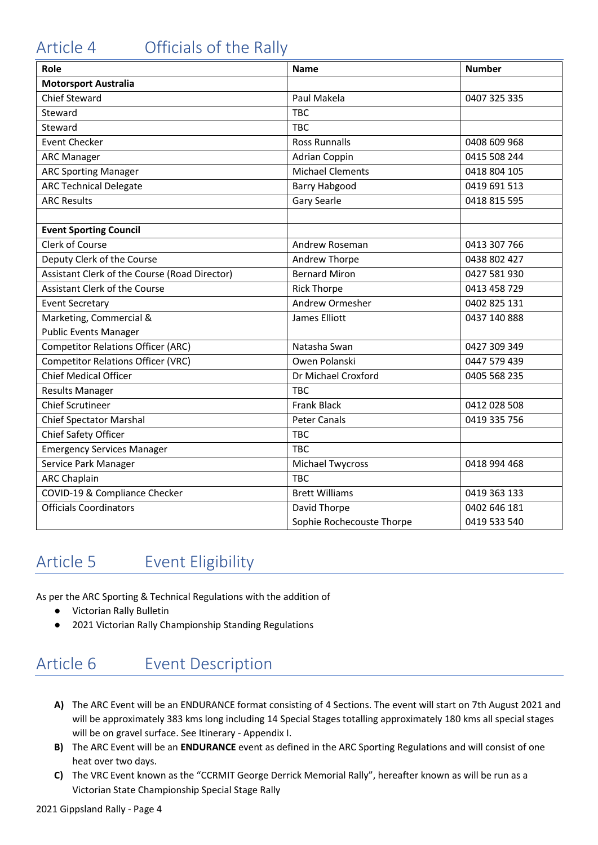# <span id="page-5-0"></span>Article 4 Officials of the Rally

| Role                                          | <b>Name</b>               | <b>Number</b> |
|-----------------------------------------------|---------------------------|---------------|
| <b>Motorsport Australia</b>                   |                           |               |
| <b>Chief Steward</b>                          | Paul Makela               | 0407 325 335  |
| Steward                                       | <b>TBC</b>                |               |
| Steward                                       | <b>TBC</b>                |               |
| <b>Event Checker</b>                          | <b>Ross Runnalls</b>      | 0408 609 968  |
| <b>ARC Manager</b>                            | <b>Adrian Coppin</b>      | 0415 508 244  |
| <b>ARC Sporting Manager</b>                   | <b>Michael Clements</b>   | 0418 804 105  |
| <b>ARC Technical Delegate</b>                 | <b>Barry Habgood</b>      | 0419 691 513  |
| <b>ARC Results</b>                            | Gary Searle               | 0418 815 595  |
|                                               |                           |               |
| <b>Event Sporting Council</b>                 |                           |               |
| <b>Clerk of Course</b>                        | Andrew Roseman            | 0413 307 766  |
| Deputy Clerk of the Course                    | Andrew Thorpe             | 0438 802 427  |
| Assistant Clerk of the Course (Road Director) | <b>Bernard Miron</b>      | 0427 581 930  |
| Assistant Clerk of the Course                 | <b>Rick Thorpe</b>        | 0413 458 729  |
| <b>Event Secretary</b>                        | Andrew Ormesher           | 0402 825 131  |
| Marketing, Commercial &                       | James Elliott             | 0437 140 888  |
| <b>Public Events Manager</b>                  |                           |               |
| <b>Competitor Relations Officer (ARC)</b>     | Natasha Swan              | 0427 309 349  |
| <b>Competitor Relations Officer (VRC)</b>     | Owen Polanski             | 0447 579 439  |
| <b>Chief Medical Officer</b>                  | Dr Michael Croxford       | 0405 568 235  |
| <b>Results Manager</b>                        | <b>TBC</b>                |               |
| <b>Chief Scrutineer</b>                       | <b>Frank Black</b>        | 0412 028 508  |
| <b>Chief Spectator Marshal</b>                | <b>Peter Canals</b>       | 0419 335 756  |
| Chief Safety Officer                          | <b>TBC</b>                |               |
| Emergency Services Manager                    | <b>TBC</b>                |               |
| Service Park Manager                          | <b>Michael Twycross</b>   | 0418 994 468  |
| <b>ARC Chaplain</b>                           | <b>TBC</b>                |               |
| COVID-19 & Compliance Checker                 | <b>Brett Williams</b>     | 0419 363 133  |
| <b>Officials Coordinators</b>                 | David Thorpe              | 0402 646 181  |
|                                               | Sophie Rochecouste Thorpe | 0419 533 540  |

## <span id="page-5-1"></span>Article 5 Event Eligibility

As per the ARC Sporting & Technical Regulations with the addition of

- Victorian Rally Bulletin
- 2021 Victorian Rally Championship Standing Regulations

# <span id="page-5-2"></span>Article 6 Event Description

- **A)** The ARC Event will be an ENDURANCE format consisting of 4 Sections. The event will start on 7th August 2021 and will be approximately 383 kms long including 14 Special Stages totalling approximately 180 kms all special stages will be on gravel surface. See Itinerary - Appendix I.
- **B)** The ARC Event will be an **ENDURANCE** event as defined in the ARC Sporting Regulations and will consist of one heat over two days.
- **C)** The VRC Event known as the "CCRMIT George Derrick Memorial Rally", hereafter known as will be run as a Victorian State Championship Special Stage Rally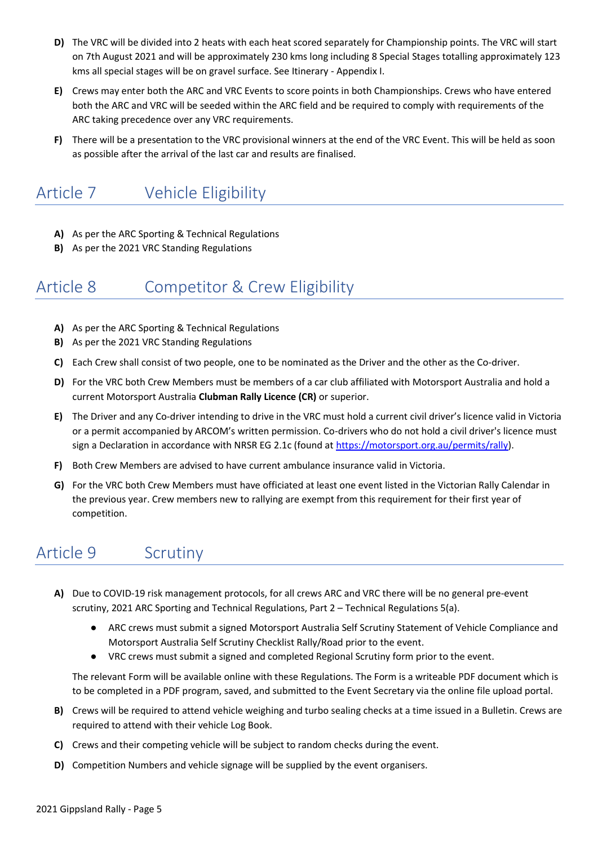- **D)** The VRC will be divided into 2 heats with each heat scored separately for Championship points. The VRC will start on 7th August 2021 and will be approximately 230 kms long including 8 Special Stages totalling approximately 123 kms all special stages will be on gravel surface. See Itinerary - Appendix I.
- **E)** Crews may enter both the ARC and VRC Events to score points in both Championships. Crews who have entered both the ARC and VRC will be seeded within the ARC field and be required to comply with requirements of the ARC taking precedence over any VRC requirements.
- **F)** There will be a presentation to the VRC provisional winners at the end of the VRC Event. This will be held as soon as possible after the arrival of the last car and results are finalised.

# <span id="page-6-0"></span>Article 7 Vehicle Eligibility

- **A)** As per the ARC Sporting & Technical Regulations
- **B)** As per the 2021 VRC Standing Regulations

#### <span id="page-6-1"></span>Article 8 Competitor & Crew Eligibility

- **A)** As per the ARC Sporting & Technical Regulations
- **B)** As per the 2021 VRC Standing Regulations
- **C)** Each Crew shall consist of two people, one to be nominated as the Driver and the other as the Co-driver.
- **D)** For the VRC both Crew Members must be members of a car club affiliated with Motorsport Australia and hold a current Motorsport Australia **Clubman Rally Licence (CR)** or superior.
- **E)** The Driver and any Co-driver intending to drive in the VRC must hold a current civil driver's licence valid in Victoria or a permit accompanied by ARCOM's written permission. Co-drivers who do not hold a civil driver's licence must sign a Declaration in accordance with NRSR EG 2.1c (found a[t https://motorsport.org.au/permits/rally\)](https://motorsport.org.au/permits/rally).
- **F)** Both Crew Members are advised to have current ambulance insurance valid in Victoria.
- **G)** For the VRC both Crew Members must have officiated at least one event listed in the Victorian Rally Calendar in the previous year. Crew members new to rallying are exempt from this requirement for their first year of competition.

#### <span id="page-6-2"></span>Article 9 Scrutiny

- **A)** Due to COVID-19 risk management protocols, for all crews ARC and VRC there will be no general pre-event scrutiny, 2021 ARC Sporting and Technical Regulations, Part 2 – Technical Regulations 5(a).
	- ARC crews must submit a signed Motorsport Australia Self Scrutiny Statement of Vehicle Compliance and Motorsport Australia Self Scrutiny Checklist Rally/Road prior to the event.
	- VRC crews must submit a signed and completed Regional Scrutiny form prior to the event.

The relevant Form will be available online with these Regulations. The Form is a writeable PDF document which is to be completed in a PDF program, saved, and submitted to the Event Secretary via the online file upload portal.

- **B)** Crews will be required to attend vehicle weighing and turbo sealing checks at a time issued in a Bulletin. Crews are required to attend with their vehicle Log Book.
- **C)** Crews and their competing vehicle will be subject to random checks during the event.
- **D)** Competition Numbers and vehicle signage will be supplied by the event organisers.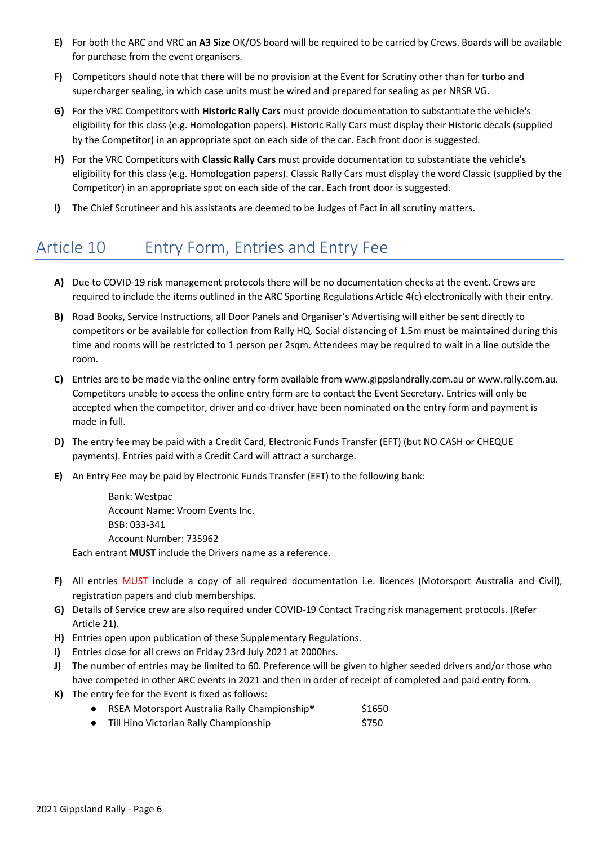- **E)** For both the ARC and VRC an **A3 Size** OK/OS board will be required to be carried by Crews. Boards will be available for purchase from the event organisers.
- **F)** Competitors should note that there will be no provision at the Event for Scrutiny other than for turbo and supercharger sealing, in which case units must be wired and prepared for sealing as per NRSR VG.
- **G)** For the VRC Competitors with **Historic Rally Cars** must provide documentation to substantiate the vehicle's eligibility for this class (e.g. Homologation papers). Historic Rally Cars must display their Historic decals (supplied by the Competitor) in an appropriate spot on each side of the car. Each front door is suggested.
- **H)** For the VRC Competitors with **Classic Rally Cars** must provide documentation to substantiate the vehicle's eligibility for this class (e.g. Homologation papers). Classic Rally Cars must display the word Classic (supplied by the Competitor) in an appropriate spot on each side of the car. Each front door is suggested.
- **I)** The Chief Scrutineer and his assistants are deemed to be Judges of Fact in all scrutiny matters.

# <span id="page-7-0"></span>Article 10 Entry Form, Entries and Entry Fee

- **A)** Due to COVID-19 risk management protocols there will be no documentation checks at the event. Crews are required to include the items outlined in the ARC Sporting Regulations Article 4(c) electronically with their entry.
- **B)** Road Books, Service Instructions, all Door Panels and Organiser's Advertising will either be sent directly to competitors or be available for collection from Rally HQ. Social distancing of 1.5m must be maintained during this time and rooms will be restricted to 1 person per 2sqm. Attendees may be required to wait in a line outside the room.
- **C)** Entries are to be made via the online entry form available from [www.gippslandrally.com.au](http://www.gippslandrally.com.au/) o[r www.rally.com.au.](http://www.rally.com.au/) Competitors unable to access the online entry form are to contact the Event Secretary. Entries will only be accepted when the competitor, driver and co-driver have been nominated on the entry form and payment is made in full.
- **D)** The entry fee may be paid with a Credit Card, Electronic Funds Transfer (EFT) (but NO CASH or CHEQUE payments). Entries paid with a Credit Card will attract a surcharge.
- **E)** An Entry Fee may be paid by Electronic Funds Transfer (EFT) to the following bank:

Bank: Westpac Account Name: Vroom Events Inc. BSB: 033-341 Account Number: 735962 Each entrant **MUST** include the Drivers name as a reference.

- **F)** All entries MUST include a copy of all required documentation i.e. licences (Motorsport Australia and Civil), registration papers and club memberships.
- **G)** Details of Service crew are also required under COVID-19 Contact Tracing risk management protocols. (Refer Article 21).
- **H)** Entries open upon publication of these Supplementary Regulations.
- **I)** Entries close for all crews on Friday 23rd July 2021 at 2000hrs.
- **J)** The number of entries may be limited to 60. Preference will be given to higher seeded drivers and/or those who have competed in other ARC events in 2021 and then in order of receipt of completed and paid entry form.
- <span id="page-7-1"></span>**K)** The entry fee for the Event is fixed as follows:
	- RSEA Motorsport Australia Rally Championship<sup>®</sup> \$1650
	- Till Hino Victorian Rally Championship **\$750**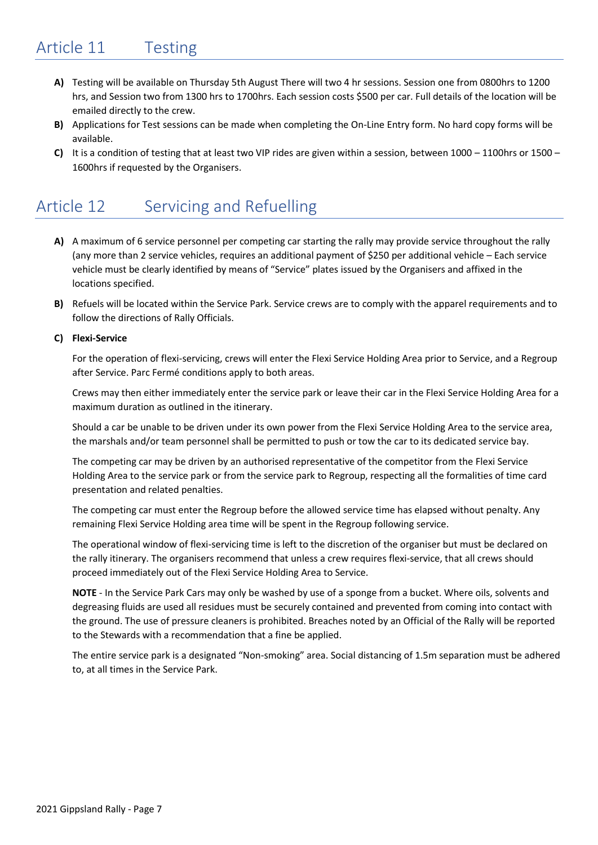- **A)** Testing will be available on Thursday 5th August There will two 4 hr sessions. Session one from 0800hrs to 1200 hrs, and Session two from 1300 hrs to 1700hrs. Each session costs \$500 per car. Full details of the location will be emailed directly to the crew.
- **B)** Applications for Test sessions can be made when completing the On-Line Entry form. No hard copy forms will be available.
- **C)** It is a condition of testing that at least two VIP rides are given within a session, between 1000 1100hrs or 1500 1600hrs if requested by the Organisers.

### <span id="page-8-0"></span>Article 12 Servicing and Refuelling

- **A)** A maximum of 6 service personnel per competing car starting the rally may provide service throughout the rally (any more than 2 service vehicles, requires an additional payment of \$250 per additional vehicle – Each service vehicle must be clearly identified by means of "Service" plates issued by the Organisers and affixed in the locations specified.
- **B)** Refuels will be located within the Service Park. Service crews are to comply with the apparel requirements and to follow the directions of Rally Officials.

#### **C) Flexi-Service**

For the operation of flexi-servicing, crews will enter the Flexi Service Holding Area prior to Service, and a Regroup after Service. Parc Fermé conditions apply to both areas.

Crews may then either immediately enter the service park or leave their car in the Flexi Service Holding Area for a maximum duration as outlined in the itinerary.

Should a car be unable to be driven under its own power from the Flexi Service Holding Area to the service area, the marshals and/or team personnel shall be permitted to push or tow the car to its dedicated service bay.

The competing car may be driven by an authorised representative of the competitor from the Flexi Service Holding Area to the service park or from the service park to Regroup, respecting all the formalities of time card presentation and related penalties.

The competing car must enter the Regroup before the allowed service time has elapsed without penalty. Any remaining Flexi Service Holding area time will be spent in the Regroup following service.

The operational window of flexi-servicing time is left to the discretion of the organiser but must be declared on the rally itinerary. The organisers recommend that unless a crew requires flexi-service, that all crews should proceed immediately out of the Flexi Service Holding Area to Service.

**NOTE** - In the Service Park Cars may only be washed by use of a sponge from a bucket. Where oils, solvents and degreasing fluids are used all residues must be securely contained and prevented from coming into contact with the ground. The use of pressure cleaners is prohibited. Breaches noted by an Official of the Rally will be reported to the Stewards with a recommendation that a fine be applied.

<span id="page-8-1"></span>The entire service park is a designated "Non-smoking" area. Social distancing of 1.5m separation must be adhered to, at all times in the Service Park.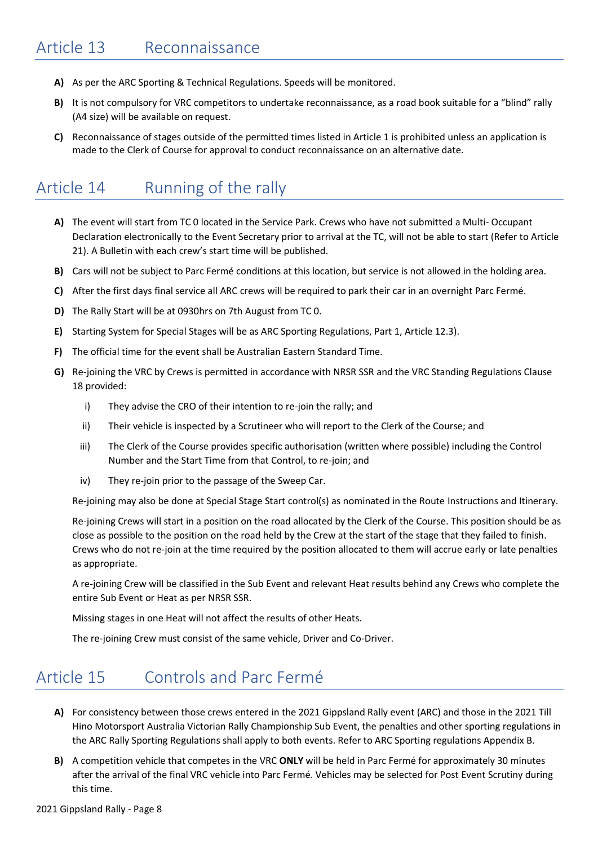- **A)** As per the ARC Sporting & Technical Regulations. Speeds will be monitored.
- **B)** It is not compulsory for VRC competitors to undertake reconnaissance, as a road book suitable for a "blind" rally (A4 size) will be available on request.
- **C)** Reconnaissance of stages outside of the permitted times listed in Article 1 is prohibited unless an application is made to the Clerk of Course for approval to conduct reconnaissance on an alternative date.

# <span id="page-9-0"></span>Article 14 Running of the rally

- **A)** The event will start from TC 0 located in the Service Park. Crews who have not submitted a Multi- Occupant Declaration electronically to the Event Secretary prior to arrival at the TC, will not be able to start (Refer to Article 21). A Bulletin with each crew's start time will be published.
- **B)** Cars will not be subject to Parc Fermé conditions at this location, but service is not allowed in the holding area.
- **C)** After the first days final service all ARC crews will be required to park their car in an overnight Parc Fermé.
- **D)** The Rally Start will be at 0930hrs on 7th August from TC 0.
- **E)** Starting System for Special Stages will be as ARC Sporting Regulations, Part 1, Article 12.3).
- **F)** The official time for the event shall be Australian Eastern Standard Time.
- **G)** Re-joining the VRC by Crews is permitted in accordance with NRSR SSR and the VRC Standing Regulations Clause 18 provided:
	- i) They advise the CRO of their intention to re-join the rally; and
	- ii) Their vehicle is inspected by a Scrutineer who will report to the Clerk of the Course; and
	- iii) The Clerk of the Course provides specific authorisation (written where possible) including the Control Number and the Start Time from that Control, to re-join; and
	- iv) They re-join prior to the passage of the Sweep Car.

Re-joining may also be done at Special Stage Start control(s) as nominated in the Route Instructions and Itinerary.

Re-joining Crews will start in a position on the road allocated by the Clerk of the Course. This position should be as close as possible to the position on the road held by the Crew at the start of the stage that they failed to finish. Crews who do not re-join at the time required by the position allocated to them will accrue early or late penalties as appropriate.

A re-joining Crew will be classified in the Sub Event and relevant Heat results behind any Crews who complete the entire Sub Event or Heat as per NRSR SSR.

Missing stages in one Heat will not affect the results of other Heats.

The re-joining Crew must consist of the same vehicle, Driver and Co-Driver.

#### <span id="page-9-1"></span>Article 15 Controls and Parc Fermé

- **A)** For consistency between those crews entered in the 2021 Gippsland Rally event (ARC) and those in the 2021 Till Hino Motorsport Australia Victorian Rally Championship Sub Event, the penalties and other sporting regulations in the ARC Rally Sporting Regulations shall apply to both events. Refer to ARC Sporting regulations Appendix B.
- **B)** A competition vehicle that competes in the VRC **ONLY** will be held in Parc Fermé for approximately 30 minutes after the arrival of the final VRC vehicle into Parc Fermé. Vehicles may be selected for Post Event Scrutiny during this time.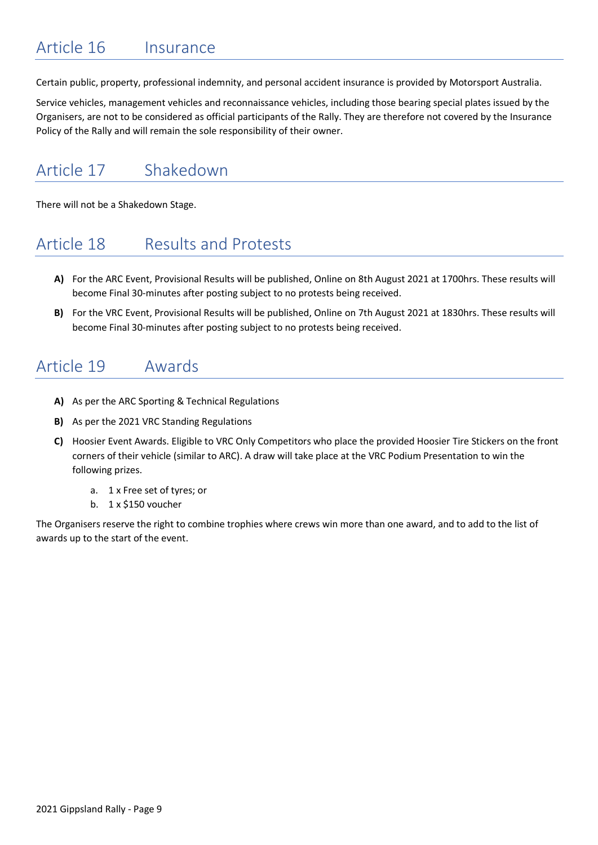### <span id="page-10-0"></span>Article 16 Insurance

Certain public, property, professional indemnity, and personal accident insurance is provided by Motorsport Australia.

Service vehicles, management vehicles and reconnaissance vehicles, including those bearing special plates issued by the Organisers, are not to be considered as official participants of the Rally. They are therefore not covered by the Insurance Policy of the Rally and will remain the sole responsibility of their owner.

## <span id="page-10-1"></span>Article 17 Shakedown

<span id="page-10-2"></span>There will not be a Shakedown Stage.

#### Article 18 Results and Protests

- **A)** For the ARC Event, Provisional Results will be published, Online on 8th August 2021 at 1700hrs. These results will become Final 30-minutes after posting subject to no protests being received.
- **B)** For the VRC Event, Provisional Results will be published, Online on 7th August 2021 at 1830hrs. These results will become Final 30-minutes after posting subject to no protests being received.

#### <span id="page-10-3"></span>Article 19 Awards

- **A)** As per the ARC Sporting & Technical Regulations
- **B)** As per the 2021 VRC Standing Regulations
- **C)** Hoosier Event Awards. Eligible to VRC Only Competitors who place the provided Hoosier Tire Stickers on the front corners of their vehicle (similar to ARC). A draw will take place at the VRC Podium Presentation to win the following prizes.
	- a. 1 x Free set of tyres; or
	- b. 1 x \$150 voucher

<span id="page-10-4"></span>The Organisers reserve the right to combine trophies where crews win more than one award, and to add to the list of awards up to the start of the event.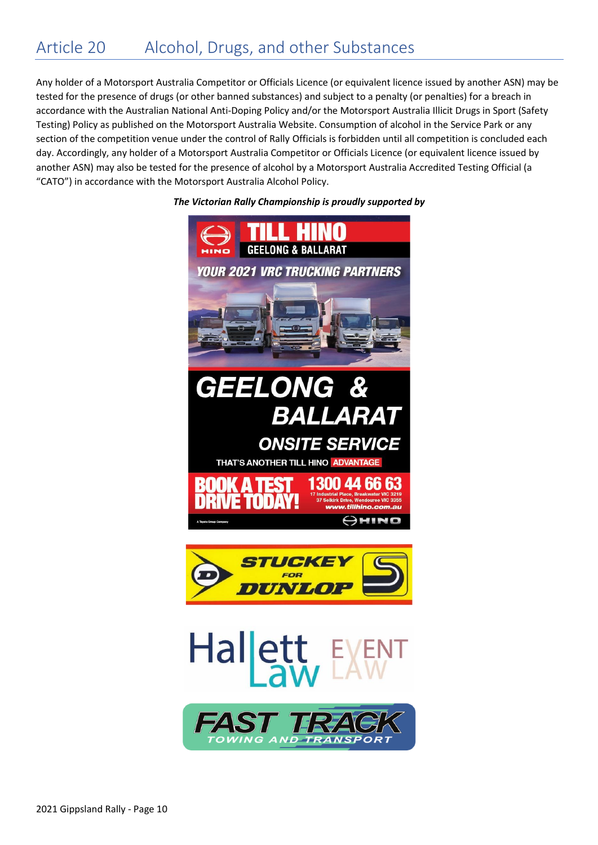<span id="page-11-0"></span>Any holder of a Motorsport Australia Competitor or Officials Licence (or equivalent licence issued by another ASN) may be tested for the presence of drugs (or other banned substances) and subject to a penalty (or penalties) for a breach in accordance with the Australian National Anti-Doping Policy and/or the Motorsport Australia Illicit Drugs in Sport (Safety Testing) Policy as published on the Motorsport Australia Website. Consumption of alcohol in the Service Park or any section of the competition venue under the control of Rally Officials is forbidden until all competition is concluded each day. Accordingly, any holder of a Motorsport Australia Competitor or Officials Licence (or equivalent licence issued by another ASN) may also be tested for the presence of alcohol by a Motorsport Australia Accredited Testing Official (a "CATO") in accordance with the Motorsport Australia Alcohol Policy.







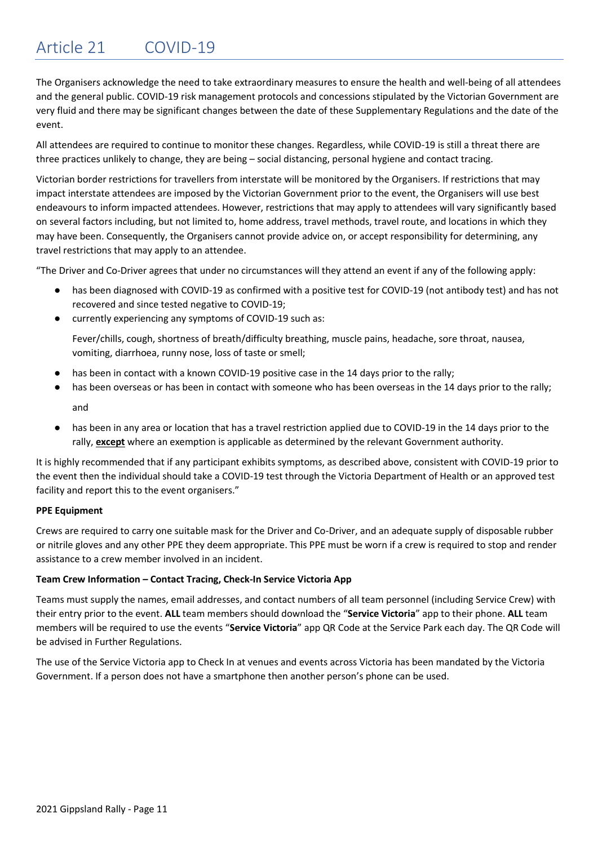### Article 21 COVID-19

The Organisers acknowledge the need to take extraordinary measures to ensure the health and well-being of all attendees and the general public. COVID-19 risk management protocols and concessions stipulated by the Victorian Government are very fluid and there may be significant changes between the date of these Supplementary Regulations and the date of the event.

All attendees are required to continue to monitor these changes. Regardless, while COVID-19 is still a threat there are three practices unlikely to change, they are being – social distancing, personal hygiene and contact tracing.

Victorian border restrictions for travellers from interstate will be monitored by the Organisers. If restrictions that may impact interstate attendees are imposed by the Victorian Government prior to the event, the Organisers will use best endeavours to inform impacted attendees. However, restrictions that may apply to attendees will vary significantly based on several factors including, but not limited to, home address, travel methods, travel route, and locations in which they may have been. Consequently, the Organisers cannot provide advice on, or accept responsibility for determining, any travel restrictions that may apply to an attendee.

"The Driver and Co-Driver agrees that under no circumstances will they attend an event if any of the following apply:

- has been diagnosed with COVID-19 as confirmed with a positive test for COVID-19 (not antibody test) and has not recovered and since tested negative to COVID-19;
- currently experiencing any symptoms of COVID-19 such as:

Fever/chills, cough, shortness of breath/difficulty breathing, muscle pains, headache, sore throat, nausea, vomiting, diarrhoea, runny nose, loss of taste or smell;

- has been in contact with a known COVID-19 positive case in the 14 days prior to the rally;
- has been overseas or has been in contact with someone who has been overseas in the 14 days prior to the rally; and
- has been in any area or location that has a travel restriction applied due to COVID-19 in the 14 days prior to the rally, **except** where an exemption is applicable as determined by the relevant Government authority.

It is highly recommended that if any participant exhibits symptoms, as described above, consistent with COVID-19 prior to the event then the individual should take a COVID-19 test through the Victoria Department of Health or an approved test facility and report this to the event organisers."

#### **PPE Equipment**

Crews are required to carry one suitable mask for the Driver and Co-Driver, and an adequate supply of disposable rubber or nitrile gloves and any other PPE they deem appropriate. This PPE must be worn if a crew is required to stop and render assistance to a crew member involved in an incident.

#### **Team Crew Information – Contact Tracing, Check-In Service Victoria App**

Teams must supply the names, email addresses, and contact numbers of all team personnel (including Service Crew) with their entry prior to the event. **ALL** team members should download the "**Service Victoria**" app to their phone. **ALL** team members will be required to use the events "**Service Victoria**" app QR Code at the Service Park each day. The QR Code will be advised in Further Regulations.

The use of the Service Victoria app to Check In at venues and events across Victoria has been mandated by the Victoria Government. If a person does not have a smartphone then another person's phone can be used.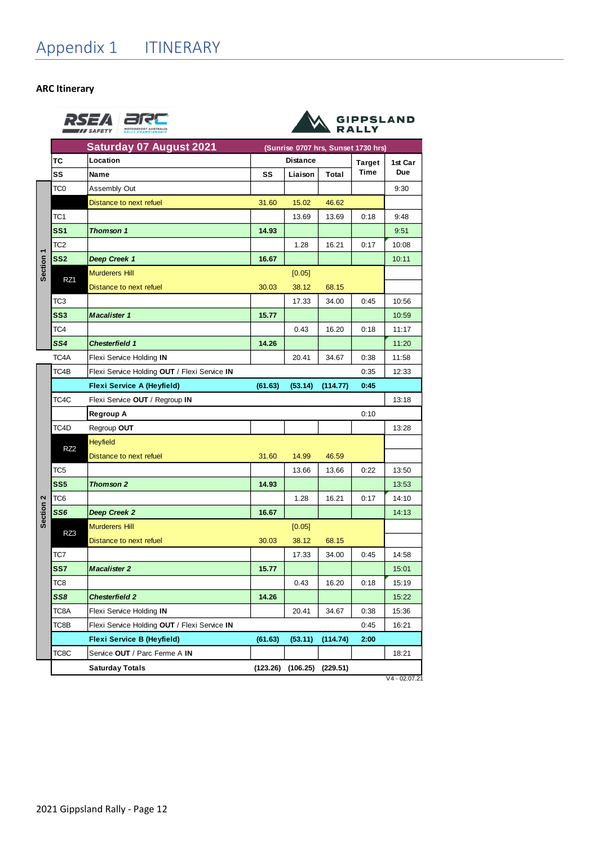<span id="page-13-0"></span>**ARC Itinerary**

|                             | <b>Saturday 07 August 2021</b>               |                 |         |          | (Sunrise 0707 hrs, Sunset 1730 hrs) |         |
|-----------------------------|----------------------------------------------|-----------------|---------|----------|-------------------------------------|---------|
| тс                          | Location                                     | <b>Distance</b> |         |          | <b>Target</b>                       | 1st Car |
| SS                          | Name                                         | SS              | Liaison | Total    | <b>Time</b>                         | Due     |
| TC0                         | <b>Assembly Out</b>                          |                 |         |          |                                     | 9:30    |
|                             | Distance to next refuel                      | 31.60           | 15.02   | 46.62    |                                     |         |
| TC1                         |                                              |                 | 13.69   | 13.69    | 0:18                                | 9:48    |
| SS <sub>1</sub>             | <b>Thomson 1</b>                             | 14.93           |         |          |                                     | 9:51    |
| TC2                         |                                              |                 | 1.28    | 16.21    | 0:17                                | 10:08   |
| SS <sub>2</sub>             | Deep Creek 1                                 | 16.67           |         |          |                                     | 10:11   |
| Section <sub>1</sub>        | <b>Murderers Hill</b>                        |                 | [0.05]  |          |                                     |         |
| RZ1                         | Distance to next refuel                      | 30.03           | 38.12   | 68.15    |                                     |         |
| ТСЗ                         |                                              |                 | 17.33   | 34.00    | 0:45                                | 10:56   |
| SS <sub>3</sub>             | <b>Macalister 1</b>                          | 15.77           |         |          |                                     | 10:59   |
| TC4                         |                                              |                 | 0.43    | 16.20    | 0:18                                | 11:17   |
| SS4                         | <b>Chesterfield 1</b>                        | 14.26           |         |          |                                     | 11:20   |
| TC4A                        | Flexi Service Holding IN                     |                 | 20.41   | 34.67    | 0:38                                | 11:58   |
| TC4B                        | Flexi Service Holding OUT / Flexi Service IN |                 |         |          | 0:35                                | 12:33   |
|                             | <b>Flexi Service A (Heyfield)</b>            | (61.63)         | (53.14) | (114.77) | 0:45                                |         |
| TC4C                        | Flexi Service OUT / Regroup IN               |                 |         |          |                                     | 13:18   |
|                             | Regroup A                                    |                 |         |          | 0:10                                |         |
| TC4D                        | Regroup OUT                                  |                 |         |          |                                     | 13:28   |
|                             | <b>Heyfield</b>                              |                 |         |          |                                     |         |
|                             |                                              |                 |         |          |                                     |         |
| RZ <sub>2</sub>             | Distance to next refuel                      | 31.60           | 14.99   | 46.59    |                                     |         |
| TC5                         |                                              |                 | 13.66   | 13.66    | 0:22                                | 13:50   |
| SS <sub>5</sub>             | Thomson 2                                    | 14.93           |         |          |                                     | 13:53   |
| TC6                         |                                              |                 | 1.28    | 16.21    | 0:17                                | 14:10   |
| SS6                         | Deep Creek 2                                 | 16.67           |         |          |                                     | 14:13   |
|                             | <b>Murderers Hill</b>                        |                 | [0.05]  |          |                                     |         |
| Section <sub>2</sub><br>RZ3 | Distance to next refuel                      | 30.03           | 38.12   | 68.15    |                                     |         |
| TC7                         |                                              |                 | 17.33   | 34.00    | 0:45                                | 14:58   |
| SS7                         | <b>Macalister 2</b>                          | 15.77           |         |          |                                     | 15:01   |
| TC8                         |                                              |                 | 0.43    | 16.20    | 0:18                                | 15:19   |
| SS8                         | <b>Chesterfield 2</b>                        | 14.26           |         |          |                                     | 15:22   |
| TC8A                        | Flexi Service Holding IN                     |                 | 20.41   | 34.67    | 0:38                                | 15:36   |
| TC8B                        | Flexi Service Holding OUT / Flexi Service IN |                 |         |          | 0:45                                | 16:21   |
|                             | <b>Flexi Service B (Heyfield)</b>            | (61.63)         | (53.11) | (114.74) | 2:00                                |         |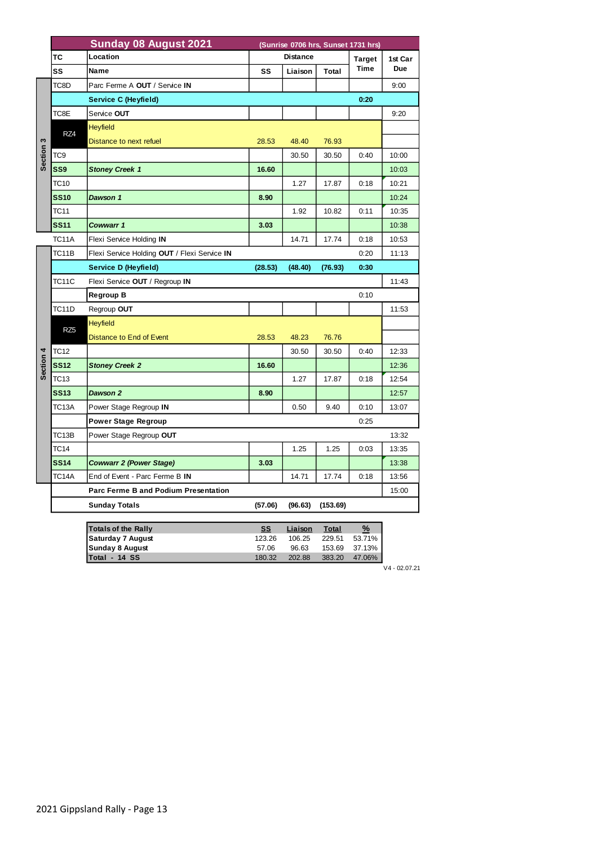|           | <b>Sunday 08 August 2021</b><br>(Sunrise 0706 hrs, Sunset 1731 hrs) |                                              |                 |         |          |               |         |
|-----------|---------------------------------------------------------------------|----------------------------------------------|-----------------|---------|----------|---------------|---------|
|           | ТC                                                                  | Location                                     | <b>Distance</b> |         |          | <b>Target</b> | 1st Car |
|           | SS                                                                  | Name                                         | SS              | Liaison | Total    | Time          | Due     |
|           | TC8D                                                                | Parc Ferme A OUT / Service IN                |                 |         |          |               | 9:00    |
|           |                                                                     | Service C (Heyfield)                         |                 |         |          | 0:20          |         |
|           | TC8E                                                                | Service OUT                                  |                 |         |          |               | 9:20    |
|           | RZ4                                                                 | <b>Heyfield</b>                              |                 |         |          |               |         |
| S         |                                                                     | Distance to next refuel                      | 28.53           | 48.40   | 76.93    |               |         |
| Section   | TC9                                                                 |                                              |                 | 30.50   | 30.50    | 0:40          | 10:00   |
|           | SS <sub>9</sub>                                                     | <b>Stoney Creek 1</b>                        | 16.60           |         |          |               | 10:03   |
|           | TC10                                                                |                                              |                 | 1.27    | 17.87    | 0:18          | 10:21   |
|           | <b>SS10</b>                                                         | Dawson 1                                     | 8.90            |         |          |               | 10:24   |
|           | TC11                                                                |                                              |                 | 1.92    | 10.82    | 0:11          | 10:35   |
|           | <b>SS11</b>                                                         | Cowwarr 1                                    | 3.03            |         |          |               | 10:38   |
|           | <b>TC11A</b>                                                        | Flexi Service Holding IN                     |                 | 14.71   | 17.74    | 0:18          | 10:53   |
|           | TC11B                                                               | Flexi Service Holding OUT / Flexi Service IN |                 |         |          | 0:20          | 11:13   |
|           |                                                                     | Service D (Heyfield)                         | (28.53)         | (48.40) | (76.93)  | 0:30          |         |
|           | TC11C                                                               | Flexi Service OUT / Regroup IN               |                 |         |          |               | 11:43   |
|           |                                                                     | <b>Regroup B</b>                             |                 |         |          | 0:10          |         |
|           | TC11D                                                               | Regroup OUT                                  |                 |         |          |               | 11:53   |
|           | RZ <sub>5</sub>                                                     | <b>Heyfield</b>                              |                 |         |          |               |         |
|           |                                                                     | Distance to End of Event                     | 28.53           | 48.23   | 76.76    |               |         |
|           | <b>TC12</b>                                                         |                                              |                 | 30.50   | 30.50    | 0:40          | 12:33   |
| Section 4 | <b>SS12</b>                                                         | <b>Stoney Creek 2</b>                        | 16.60           |         |          |               | 12:36   |
|           | <b>TC13</b>                                                         |                                              |                 | 1.27    | 17.87    | 0:18          | 12:54   |
|           | <b>SS13</b>                                                         | Dawson 2                                     | 8.90            |         |          |               | 12:57   |
|           | TC13A                                                               | Power Stage Regroup IN                       |                 | 0.50    | 9.40     | 0:10          | 13:07   |
|           |                                                                     | <b>Power Stage Regroup</b>                   |                 |         |          | 0:25          |         |
|           | TC13B                                                               | Power Stage Regroup OUT                      |                 |         |          |               | 13:32   |
|           | TC14                                                                |                                              |                 | 1.25    | 1.25     | 0:03          | 13:35   |
|           | <b>SS14</b>                                                         | <b>Cowwarr 2 (Power Stage)</b>               | 3.03            |         |          |               | 13:38   |
|           | TC14A                                                               | End of Event - Parc Ferme B IN               |                 | 14.71   | 17.74    | 0:18          | 13:56   |
|           |                                                                     | Parc Ferme B and Podium Presentation         |                 |         |          |               | 15:00   |
|           |                                                                     | <b>Sunday Totals</b>                         | (57.06)         | (96.63) | (153.69) |               |         |
|           |                                                                     |                                              |                 |         |          |               |         |
|           |                                                                     | <b>Totals of the Rally</b>                   | <b>SS</b>       | Liaison | Total    | $\frac{9}{6}$ |         |

| <b>Totals of the Rally</b> | SS     | Liaison | Total  | %      |
|----------------------------|--------|---------|--------|--------|
| Saturday 7 August          | 123.26 | 106.25  | 229.51 | 53.71% |
| Sunday 8 August            | 57.06  | 96.63   | 153.69 | 37.13% |
| lTotal - 14 SS             | 180.32 | 202.88  | 383.20 | 47.06% |

 $V4 - 02.07.21$